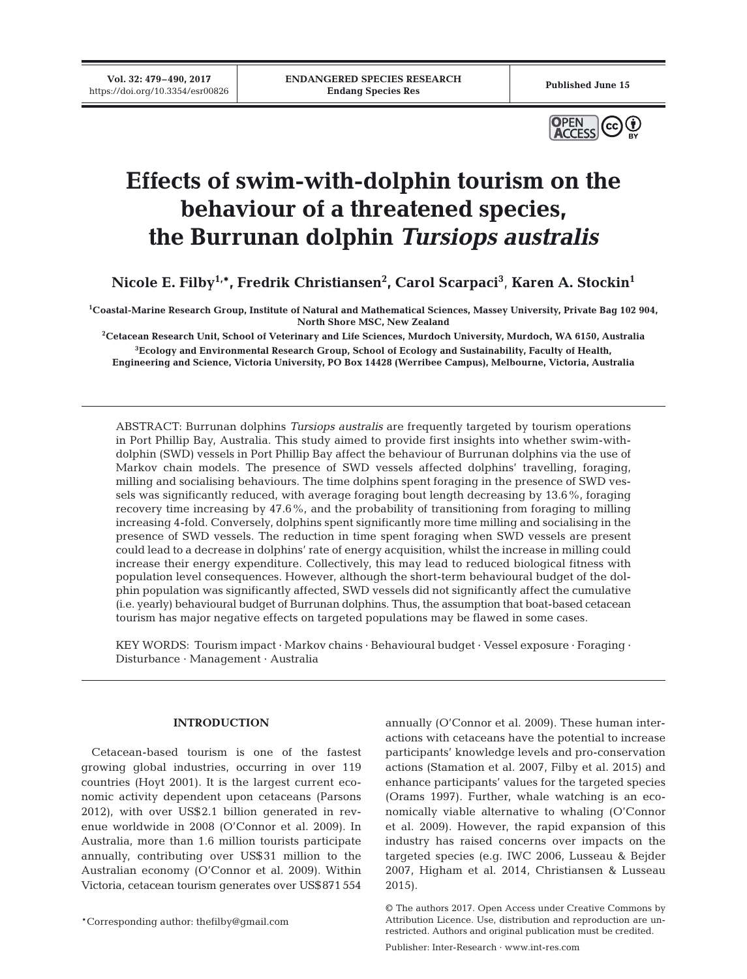**Vol. 32: 479–490, 2017**



# **Effects of swim-with-dolphin tourism on the behaviour of a threatened species, the Burrunan dolphin** *Tursiops australis*

 $\mathbf{Nicole}\ \mathbf{E.}\ \mathbf{Filby}^{1,\ast},\ \mathbf{Fredrik}\ \mathbf{Christiansen}^{2},\ \mathbf{Carol}\ \mathbf{Scarpaci}^{3},\ \mathbf{Karen}\ \mathbf{A.}\ \mathbf{Stockin}^{1}$ 

**1 Coastal-Marine Research Group, Institute of Natural and Mathematical Sciences, Massey University, Private Bag 102 904, North Shore MSC, New Zealand**

**2 Cetacean Research Unit, School of Veterinary and Life Sciences, Murdoch University, Murdoch, WA 6150, Australia 3 Ecology and Environmental Research Group, School of Ecology and Sustainability, Faculty of Health, Engineering and Science, Victoria University, PO Box 14428 (Werribee Campus), Melbourne, Victoria, Australia**

ABSTRACT: Burrunan dolphins *Tursiops australis* are frequently targeted by tourism operations in Port Phillip Bay, Australia. This study aimed to provide first insights into whether swim-withdolphin (SWD) vessels in Port Phillip Bay affect the behaviour of Burrunan dolphins via the use of Markov chain models. The presence of SWD vessels affected dolphins' travelling, foraging, milling and socialising behaviours. The time dolphins spent foraging in the presence of SWD vessels was significantly reduced, with average foraging bout length decreasing by 13.6%, foraging recovery time increasing by 47.6%, and the probability of transitioning from foraging to milling increasing 4-fold. Conversely, dolphins spent significantly more time milling and socialising in the presence of SWD vessels. The reduction in time spent foraging when SWD vessels are present could lead to a decrease in dolphins' rate of energy acquisition, whilst the increase in milling could increase their energy expenditure. Collectively, this may lead to reduced biological fitness with population level consequences. However, although the short-term behavioural budget of the dolphin population was significantly affected, SWD vessels did not significantly affect the cumulative (i.e. yearly) behavioural budget of Burrunan dolphins. Thus, the assumption that boat-based cetacean tourism has major negative effects on targeted populations may be flawed in some cases.

KEY WORDS: Tourism impact · Markov chains · Behavioural budget · Vessel exposure · Foraging · Disturbance · Management · Australia

# **INTRODUCTION**

Cetacean-based tourism is one of the fastest growing global industries, occurring in over 119 countries (Hoyt 2001). It is the largest current economic activity dependent upon cetaceans (Parsons 2012), with over US\$2.1 billion generated in revenue worldwide in 2008 (O'Connor et al. 2009). In Australia, more than 1.6 million tourists participate annually, contributing over US\$31 million to the Australian economy (O'Connor et al. 2009). Within Victoria, cetacean tourism generates over US\$871 554

\*Corresponding author: thefilby@gmail.com

annually (O'Connor et al. 2009). These human interactions with cetaceans have the potential to increase participants' knowledge levels and pro-conservation actions (Stamation et al. 2007, Filby et al. 2015) and enhance participants' values for the targeted species (Orams 1997). Further, whale watching is an economically viable alternative to whaling (O'Connor et al. 2009). However, the rapid expansion of this industry has raised concerns over impacts on the targeted species (e.g. IWC 2006, Lusseau & Bejder 2007, Higham et al. 2014, Christiansen & Lusseau 2015).

<sup>©</sup> The authors 2017. Open Access under Creative Commons by Attribution Licence. Use, distribution and reproduction are unrestricted. Authors and original publication must be credited.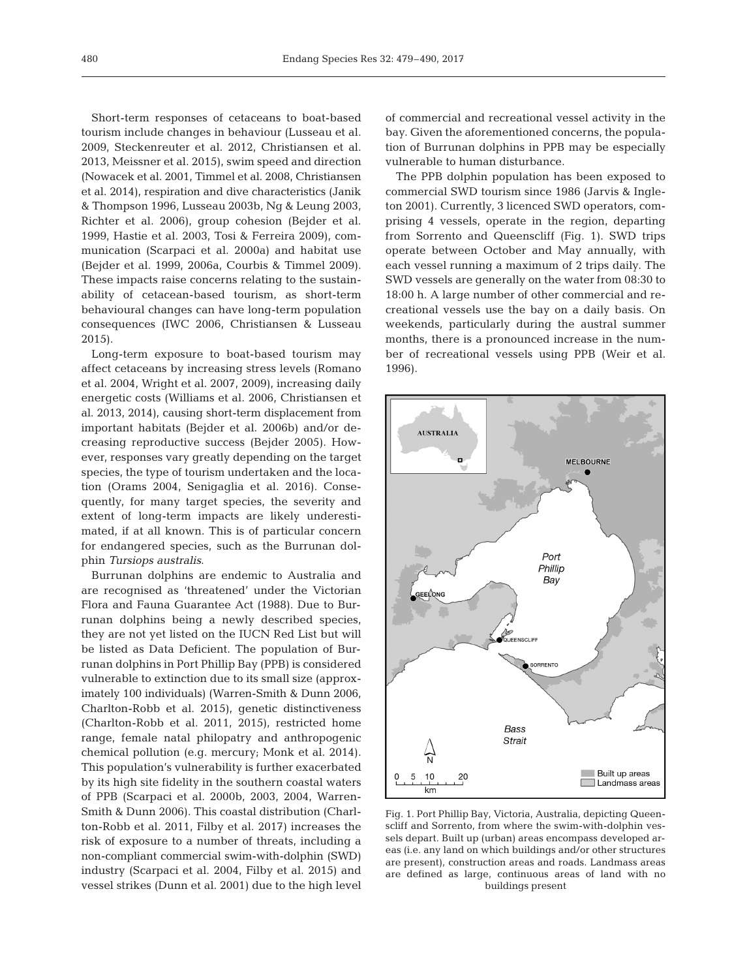Short-term responses of cetaceans to boat-based tourism include changes in behaviour (Lusseau et al. 2009, Steckenreuter et al. 2012, Christiansen et al. 2013, Meissner et al. 2015), swim speed and direction (Nowacek et al. 2001, Timmel et al. 2008, Christiansen et al. 2014), respiration and dive characteristics (Janik & Thompson 1996, Lusseau 2003b, Ng & Leung 2003, Richter et al. 2006), group cohesion (Bejder et al. 1999, Hastie et al. 2003, Tosi & Ferreira 2009), communication (Scarpaci et al. 2000a) and habitat use (Bejder et al. 1999, 2006a, Courbis & Timmel 2009). These impacts raise concerns relating to the sustainability of cetacean-based tourism, as short-term behavioural changes can have long-term population consequences (IWC 2006, Christiansen & Lusseau 2015).

Long-term exposure to boat-based tourism may affect cetaceans by increasing stress levels (Romano et al. 2004, Wright et al. 2007, 2009), increasing daily energetic costs (Williams et al. 2006, Christiansen et al. 2013, 2014), causing short-term displacement from important habitats (Bejder et al. 2006b) and/or de creasing reproductive success (Bejder 2005). However, responses vary greatly depending on the target species, the type of tourism undertaken and the location (Orams 2004, Senigaglia et al. 2016). Consequently, for many target species, the severity and extent of long-term impacts are likely underestimated, if at all known. This is of particular concern for endangered species, such as the Burrunan dolphin *Tursiops australis*.

Burrunan dolphins are endemic to Australia and are recognised as 'threatened' under the Victorian Flora and Fauna Guarantee Act (1988). Due to Burrunan dolphins being a newly described species, they are not yet listed on the IUCN Red List but will be listed as Data Deficient. The population of Burrunan dolphins in Port Phillip Bay (PPB) is considered vulnerable to extinction due to its small size (approximately 100 individuals) (Warren-Smith & Dunn 2006, Charlton-Robb et al. 2015), genetic distinctiveness (Charlton-Robb et al. 2011, 2015), restricted home range, female natal philopatry and anthropogenic chemical pollution (e.g. mercury; Monk et al. 2014). This population's vulnerability is further exacerbated by its high site fidelity in the southern coastal waters of PPB (Scarpaci et al. 2000b, 2003, 2004, Warren-Smith & Dunn 2006). This coastal distribution (Charlton-Robb et al. 2011, Filby et al. 2017) increases the risk of exposure to a number of threats, including a non-compliant commercial swim-with-dolphin (SWD) industry (Scarpaci et al. 2004, Filby et al. 2015) and vessel strikes (Dunn et al. 2001) due to the high level of commercial and recreational vessel activity in the bay. Given the aforementioned concerns, the population of Burrunan dolphins in PPB may be especially vulnerable to human disturbance.

The PPB dolphin population has been exposed to commercial SWD tourism since 1986 (Jarvis & Ingleton 2001). Currently, 3 licenced SWD operators, comprising 4 vessels, operate in the region, departing from Sorrento and Queenscliff (Fig. 1). SWD trips operate between October and May annually, with each vessel running a maximum of 2 trips daily. The SWD vessels are generally on the water from 08:30 to 18:00 h. A large number of other commercial and re creational vessels use the bay on a daily basis. On weekends, particularly during the austral summer months, there is a pronounced increase in the number of recreational vessels using PPB (Weir et al. 1996).



Fig. 1. Port Phillip Bay, Victoria, Australia, depicting Queenscliff and Sorrento, from where the swim-with-dolphin vessels depart. Built up (urban) areas encompass developed areas (i.e. any land on which buildings and/or other structures are present), construction areas and roads. Landmass areas are defined as large, continuous areas of land with no buildings present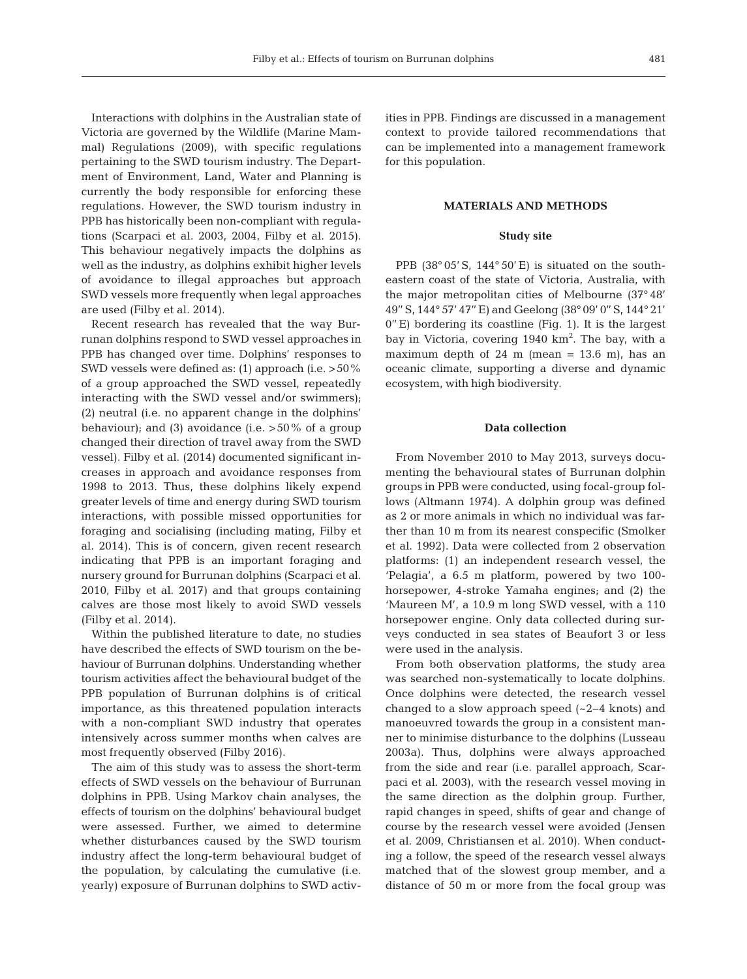Interactions with dolphins in the Australian state of Victoria are governed by the Wildlife (Marine Mammal) Regulations (2009), with specific regulations pertaining to the SWD tourism industry. The Department of Environment, Land, Water and Planning is currently the body responsible for enforcing these regulations. However, the SWD tourism industry in PPB has historically been non-compliant with regulations (Scarpaci et al. 2003, 2004, Filby et al. 2015). This behaviour negatively impacts the dolphins as well as the industry, as dolphins exhibit higher levels of avoidance to illegal approaches but approach SWD vessels more frequently when legal approaches are used (Filby et al. 2014).

Recent research has revealed that the way Burrunan dolphins respond to SWD vessel approaches in PPB has changed over time. Dolphins' responses to SWD vessels were defined as: (1) approach (i.e. >50% of a group approached the SWD vessel, repeatedly interacting with the SWD vessel and/or swimmers); (2) neutral (i.e. no apparent change in the dolphins' behaviour); and (3) avoidance (i.e.  $>50\%$  of a group changed their direction of travel away from the SWD vessel). Filby et al. (2014) documented significant in creases in approach and avoidance responses from 1998 to 2013. Thus, these dolphins likely expend greater levels of time and energy during SWD tourism interactions, with possible missed opportunities for foraging and socialising (including mating, Filby et al. 2014). This is of concern, given recent research indicating that PPB is an important foraging and nursery ground for Burrunan dolphins (Scarpaci et al. 2010, Filby et al. 2017) and that groups containing calves are those most likely to avoid SWD vessels (Filby et al. 2014).

Within the published literature to date, no studies have described the effects of SWD tourism on the be haviour of Burrunan dolphins. Understanding whether tourism activities affect the behavioural budget of the PPB population of Burrunan dolphins is of critical importance, as this threatened population interacts with a non-compliant SWD industry that operates intensively across summer months when calves are most frequently observed (Filby 2016).

The aim of this study was to assess the short-term effects of SWD vessels on the behaviour of Burrunan dolphins in PPB. Using Markov chain analyses, the effects of tourism on the dolphins' behavioural budget were assessed. Further, we aimed to determine whether disturbances caused by the SWD tourism industry affect the long-term behavioural budget of the population, by calculating the cumulative (i.e. yearly) exposure of Burrunan dolphins to SWD activities in PPB. Findings are discussed in a management context to provide tailored recommendations that can be implemented into a management framework for this population.

# **MATERIALS AND METHODS**

## **Study site**

PPB (38 $\degree$  05' S, 144 $\degree$  50' E) is situated on the southeastern coast of the state of Victoria, Australia, with the major metropolitan cities of Melbourne (37° 48' 49'' S, 144° 57' 47'' E) and Geelong (38° 09' 0'' S, 144° 21' 0'' E) bordering its coastline (Fig. 1). It is the largest bay in Victoria, covering  $1940 \text{ km}^2$ . The bay, with a maximum depth of 24 m (mean =  $13.6$  m), has an oceanic climate, supporting a diverse and dynamic ecosystem, with high biodiversity.

## **Data collection**

From November 2010 to May 2013, surveys documenting the behavioural states of Burrunan dolphin groups in PPB were conducted, using focal-group follows (Altmann 1974). A dolphin group was defined as 2 or more animals in which no individual was farther than 10 m from its nearest conspecific (Smolker et al. 1992). Data were collected from 2 observation platforms: (1) an independent research vessel, the 'Pelagia', a 6.5 m platform, powered by two 100 horsepower, 4-stroke Yamaha engines; and (2) the 'Maureen M', a 10.9 m long SWD vessel, with a 110 horsepower engine. Only data collected during surveys conducted in sea states of Beaufort 3 or less were used in the analysis.

From both observation platforms, the study area was searched non-systematically to locate dolphins. Once dolphins were detected, the research vessel changed to a slow approach speed (~2−4 knots) and manoeuvred towards the group in a consistent manner to minimise disturbance to the dolphins (Lusseau 2003a). Thus, dolphins were always approached from the side and rear (i.e. parallel approach, Scarpaci et al. 2003), with the research vessel moving in the same direction as the dolphin group. Further, rapid changes in speed, shifts of gear and change of course by the research vessel were avoided (Jensen et al. 2009, Christiansen et al. 2010). When conducting a follow, the speed of the research vessel always matched that of the slowest group member, and a distance of 50 m or more from the focal group was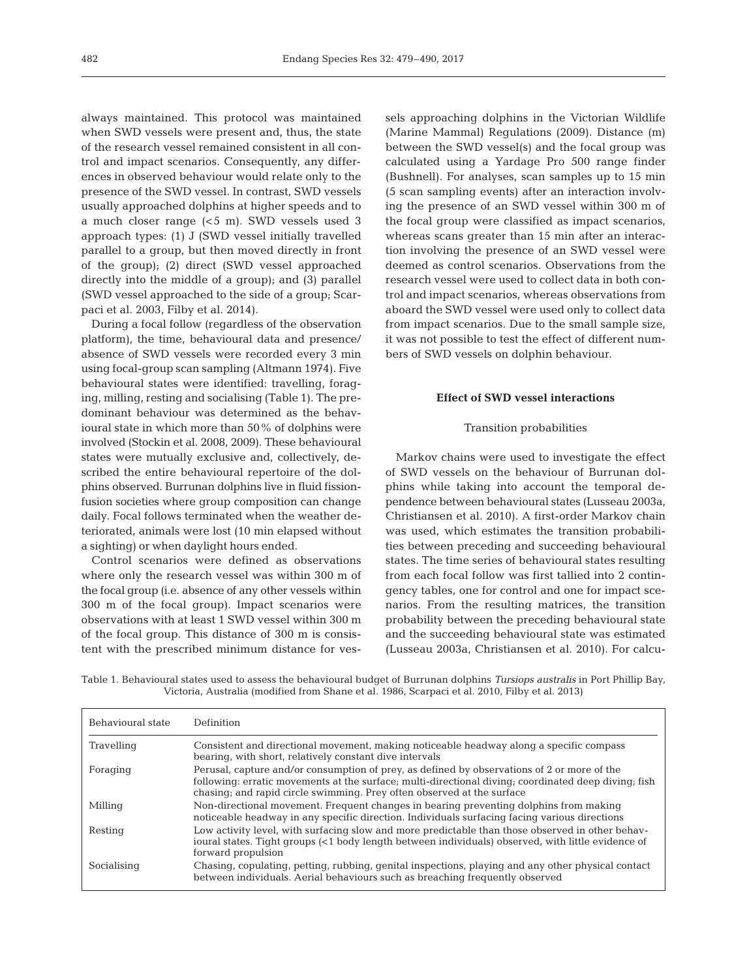always maintained. This protocol was maintained when SWD vessels were present and, thus, the state of the research vessel remained consistent in all control and impact scenarios. Consequently, any differences in observed behaviour would relate only to the presence of the SWD vessel. In contrast, SWD vessels usually approached dolphins at higher speeds and to a much closer range (<5 m). SWD vessels used 3 approach types: (1) J (SWD vessel initially travelled parallel to a group, but then moved directly in front of the group); (2) direct (SWD vessel approached directly into the middle of a group); and (3) parallel (SWD vessel approached to the side of a group; Scar paci et al. 2003, Filby et al. 2014).

During a focal follow (regardless of the observation platform), the time, behavioural data and presence/ absence of SWD vessels were recorded every 3 min using focal-group scan sampling (Altmann 1974). Five behavioural states were identified: travelling, foraging, milling, resting and socialising (Table 1). The predominant behaviour was determined as the behavioural state in which more than 50% of dolphins were involved (Stockin et al. 2008, 2009). These behavioural states were mutually exclusive and, collectively, described the entire behavioural repertoire of the dolphins observed. Burrunan dolphins live in fluid fissionfusion societies where group composition can change daily. Focal follows terminated when the weather deteriorated, animals were lost (10 min elapsed without a sighting) or when daylight hours ended.

Control scenarios were defined as observations where only the research vessel was within 300 m of the focal group (i.e. absence of any other vessels within 300 m of the focal group). Impact scenarios were observations with at least 1 SWD vessel within 300 m of the focal group. This distance of 300 m is consistent with the prescribed minimum distance for vessels approaching dolphins in the Victorian Wildlife (Marine Mammal) Regulations (2009). Distance (m) between the SWD vessel(s) and the focal group was calculated using a Yardage Pro 500 range finder (Bushnell). For analyses, scan samples up to 15 min (5 scan sampling events) after an interaction involving the presence of an SWD vessel within 300 m of the focal group were classified as impact scenarios, whereas scans greater than 15 min after an interaction involving the presence of an SWD vessel were deemed as control scenarios. Observations from the research vessel were used to collect data in both control and impact scenarios, whereas observations from aboard the SWD vessel were used only to collect data from impact scenarios. Due to the small sample size, it was not possible to test the effect of different numbers of SWD vessels on dolphin behaviour.

# **Effect of SWD vessel interactions**

## Transition probabilities

Markov chains were used to investigate the effect of SWD vessels on the behaviour of Burrunan dolphins while taking into account the temporal dependence between behavioural states (Lusseau 2003a, Christiansen et al. 2010). A first-order Markov chain was used, which estimates the transition probabilities between preceding and succeeding behavioural states. The time series of behavioural states resulting from each focal follow was first tallied into 2 contingency tables, one for control and one for impact scenarios. From the resulting matrices, the transition probability between the preceding behavioural state and the succeeding behavioural state was estimated (Lusseau 2003a, Christiansen et al. 2010). For calcu-

Table 1. Behavioural states used to assess the behavioural budget of Burrunan dolphins *Tursiops australis* in Port Phillip Bay, Victoria, Australia (modified from Shane et al. 1986, Scarpaci et al. 2010, Filby et al. 2013)

| Behavioural state | Definition                                                                                                                                                                                                                                                                    |
|-------------------|-------------------------------------------------------------------------------------------------------------------------------------------------------------------------------------------------------------------------------------------------------------------------------|
| Travelling        | Consistent and directional movement, making noticeable headway along a specific compass<br>bearing, with short, relatively constant dive intervals                                                                                                                            |
| Foraging          | Perusal, capture and/or consumption of prey, as defined by observations of 2 or more of the<br>following: erratic movements at the surface; multi-directional diving; coordinated deep diving; fish<br>chasing, and rapid circle swimming. Prey often observed at the surface |
| Milling           | Non-directional movement. Frequent changes in bearing preventing dolphins from making<br>noticeable headway in any specific direction. Individuals surfacing facing various directions                                                                                        |
| Resting           | Low activity level, with surfacing slow and more predictable than those observed in other behav-<br>ioural states. Tight groups (<1 body length between individuals) observed, with little evidence of<br>forward propulsion                                                  |
| Socialising       | Chasing, copulating, petting, rubbing, genital inspections, playing and any other physical contact<br>between individuals. Aerial behaviours such as breaching frequently observed                                                                                            |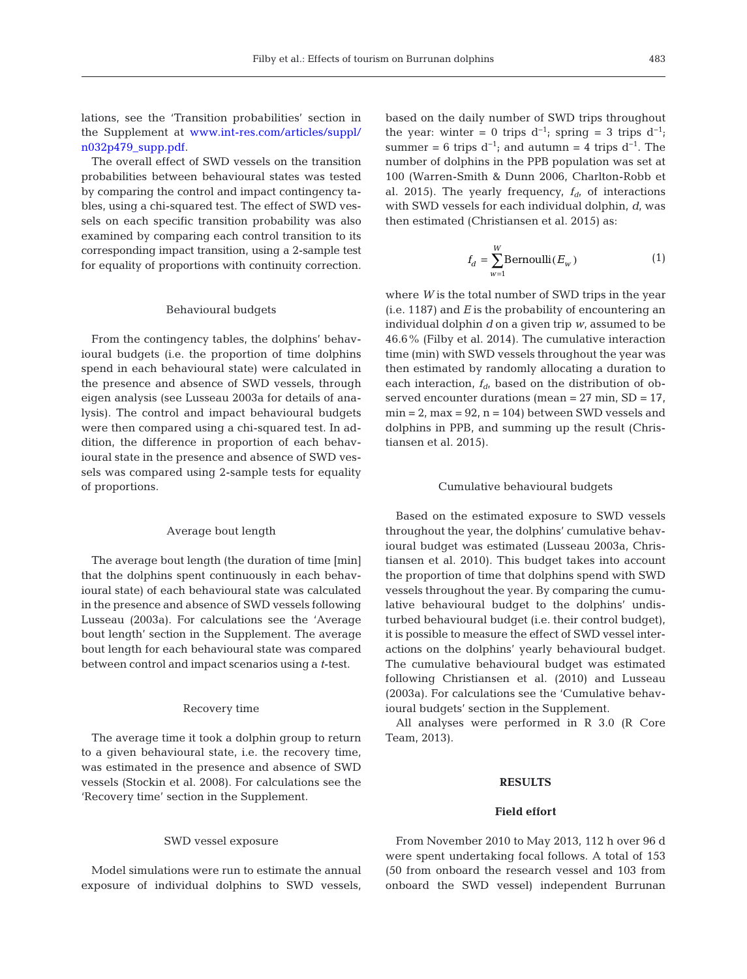lations, see the 'Transition probabilities' section in the Supplement at www.int-res.com/articles/suppl/ [n032 p479 \\_ supp. pdf](http://www.int-res.com/articles/suppl/n032p479_supp.pdf).

The overall effect of SWD vessels on the transition probabilities between behavioural states was tested by comparing the control and impact contingency tables, using a chi-squared test. The effect of SWD vessels on each specific transition probability was also examined by comparing each control transition to its corresponding impact transition, using a 2-sample test for equality of proportions with continuity correction.

## Behavioural budgets

From the contingency tables, the dolphins' behavioural budgets (i.e. the proportion of time dolphins spend in each behavioural state) were calculated in the presence and absence of SWD vessels, through eigen analysis (see Lusseau 2003a for details of ana lysis). The control and impact behavioural budgets were then compared using a chi-squared test. In addition, the difference in proportion of each behavioural state in the presence and absence of SWD vessels was compared using 2-sample tests for equality of proportions.

## Average bout length

The average bout length (the duration of time [min] that the dolphins spent continuously in each behavioural state) of each behavioural state was calculated in the presence and absence of SWD vessels following Lusseau (2003a). For calculations see the 'Average bout length' section in the Supplement. The average bout length for each behavioural state was compared between control and impact scenarios using a *t*-test.

## Recovery time

The average time it took a dolphin group to return to a given behavioural state, i.e. the recovery time, was estimated in the presence and absence of SWD vessels (Stockin et al. 2008). For calculations see the 'Recovery time' section in the Supplement.

## SWD vessel exposure

Model simulations were run to estimate the annual exposure of individual dolphins to SWD vessels, based on the daily number of SWD trips throughout the year: winter = 0 trips  $d^{-1}$ ; spring = 3 trips  $d^{-1}$ ; summer = 6 trips  $d^{-1}$ ; and autumn = 4 trips  $d^{-1}$ . The number of dolphins in the PPB population was set at 100 (Warren-Smith & Dunn 2006, Charlton-Robb et al. 2015). The yearly frequency,  $f_{d}$  of interactions with SWD vessels for each individual dolphin, *d*, was then estimated (Christiansen et al. 2015) as:

$$
f_d = \sum_{w=1}^{W} \text{Bernoulli}(E_w)
$$
 (1)

where *W* is the total number of SWD trips in the year (i.e. 1187) and *E* is the probability of encountering an individual dolphin *d* on a given trip *w*, assumed to be 46.6% (Filby et al. 2014). The cumulative interaction time (min) with SWD vessels throughout the year was then estimated by randomly allocating a duration to each interaction,  $f_{d}$ , based on the distribution of observed encounter durations (mean = 27 min, SD = 17,  $min = 2, max = 92, n = 104$  between SWD vessels and dolphins in PPB, and summing up the result (Christiansen et al. 2015).

## Cumulative behavioural budgets

Based on the estimated exposure to SWD vessels throughout the year, the dolphins' cumulative behavioural budget was estimated (Lusseau 2003a, Christiansen et al. 2010). This budget takes into account the proportion of time that dolphins spend with SWD vessels throughout the year. By comparing the cumulative behavioural budget to the dolphins' undisturbed behavioural budget (i.e. their control budget), it is possible to measure the effect of SWD vessel inter actions on the dolphins' yearly behavioural budget. The cumulative behavioural budget was estimated following Christiansen et al. (2010) and Lusseau (2003a). For calculations see the 'Cumulative behavioural budgets' section in the Supplement.

All analyses were performed in R 3.0 (R Core Team, 2013).

# **RESULTS**

## **Field effort**

From November 2010 to May 2013, 112 h over 96 d were spent undertaking focal follows. A total of 153 (50 from onboard the research vessel and 103 from onboard the SWD vessel) independent Burrunan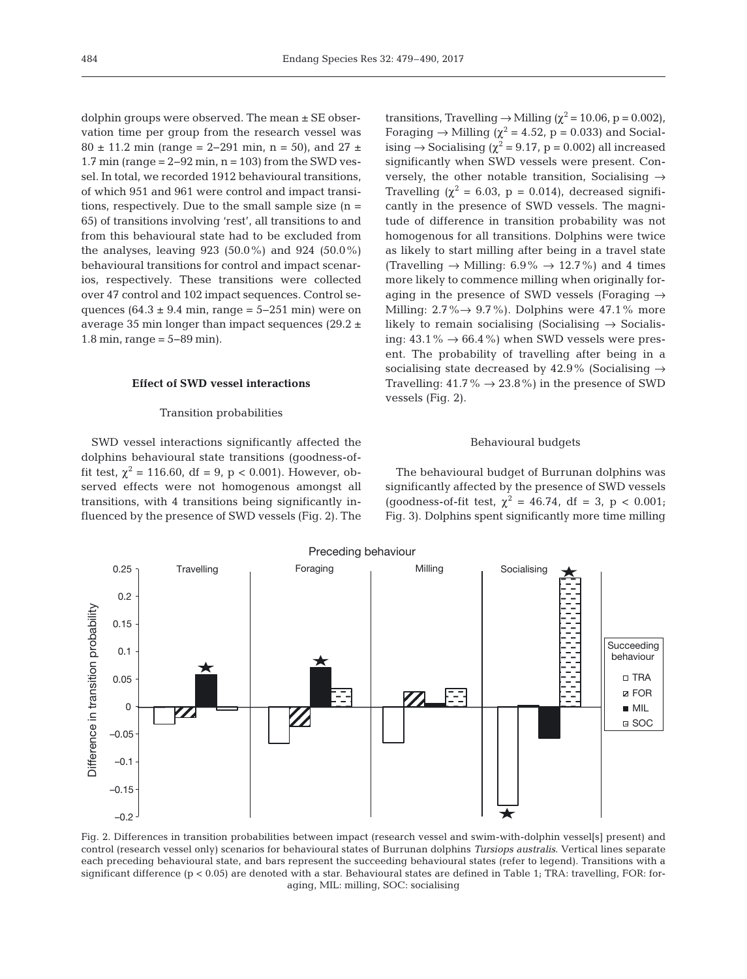dolphin groups were observed. The mean  $\pm$  SE observation time per group from the research vessel was  $80 \pm 11.2$  min (range = 2–291 min, n = 50), and 27  $\pm$ 1.7 min (range = 2−92 min, n = 103) from the SWD vessel. In total, we recorded 1912 behavioural transitions, of which 951 and 961 were control and impact transitions, respectively. Due to the small sample size  $(n =$ 65) of transitions involving 'rest', all transitions to and from this behavioural state had to be excluded from the analyses, leaving 923 (50.0%) and 924 (50.0%) behavioural transitions for control and impact scenarios, respectively. These transitions were collected over 47 control and 102 impact sequences. Control sequences (64.3 ± 9.4 min, range =  $5-251$  min) were on average 35 min longer than impact sequences (29.2  $\pm$ 1.8 min, range = 5−89 min).

## **Effect of SWD vessel interactions**

# Transition probabilities

SWD vessel interactions significantly affected the dolphins behavioural state transitions (goodness-offit test,  $\chi^2 = 116.60$ , df = 9, p < 0.001). However, observed effects were not homogenous amongst all transitions, with 4 transitions being significantly in fluenced by the presence of SWD vessels (Fig. 2). The transitions, Travelling  $\rightarrow$  Milling ( $\chi^2$  = 10.06, p = 0.002), Foraging  $\rightarrow$  Milling ( $\chi^2$  = 4.52, p = 0.033) and Socialising  $\rightarrow$  Socialising ( $\chi^2$  = 9.17, p = 0.002) all increased significantly when SWD vessels were present. Conversely, the other notable transition, Socialising  $\rightarrow$ Travelling ( $\chi^2$  = 6.03, p = 0.014), decreased significantly in the presence of SWD vessels. The magnitude of difference in transition probability was not homogenous for all transitions. Dolphins were twice as likely to start milling after being in a travel state (Travelling  $\rightarrow$  Milling: 6.9%  $\rightarrow$  12.7%) and 4 times more likely to commence milling when originally foraging in the presence of SWD vessels (Foraging  $\rightarrow$ Milling:  $2.7\% \rightarrow 9.7\%$ . Dolphins were 47.1% more likely to remain socialising (Socialising  $\rightarrow$  Socialising:  $43.1\% \rightarrow 66.4\%$  when SWD vessels were present. The probability of travelling after being in a socialising state decreased by 42.9% (Socialising  $\rightarrow$ Travelling:  $41.7\% \rightarrow 23.8\%$  in the presence of SWD vessels (Fig. 2).

# Behavioural budgets

The behavioural budget of Burrunan dolphins was significantly affected by the presence of SWD vessels (goodness-of-fit test,  $\chi^2 = 46.74$ , df = 3, p < 0.001; Fig. 3). Dolphins spent significantly more time milling



Fig. 2. Differences in transition probabilities between impact (research vessel and swim-with-dolphin vessel[s] present) and control (research vessel only) scenarios for behavioural states of Burrunan dolphins *Tursiops australis*. Vertical lines separate each preceding behavioural state, and bars represent the succeeding behavioural states (refer to legend). Transitions with a significant difference (p < 0.05) are denoted with a star. Behavioural states are defined in Table 1; TRA: travelling, FOR: foraging, MIL: milling, SOC: socialising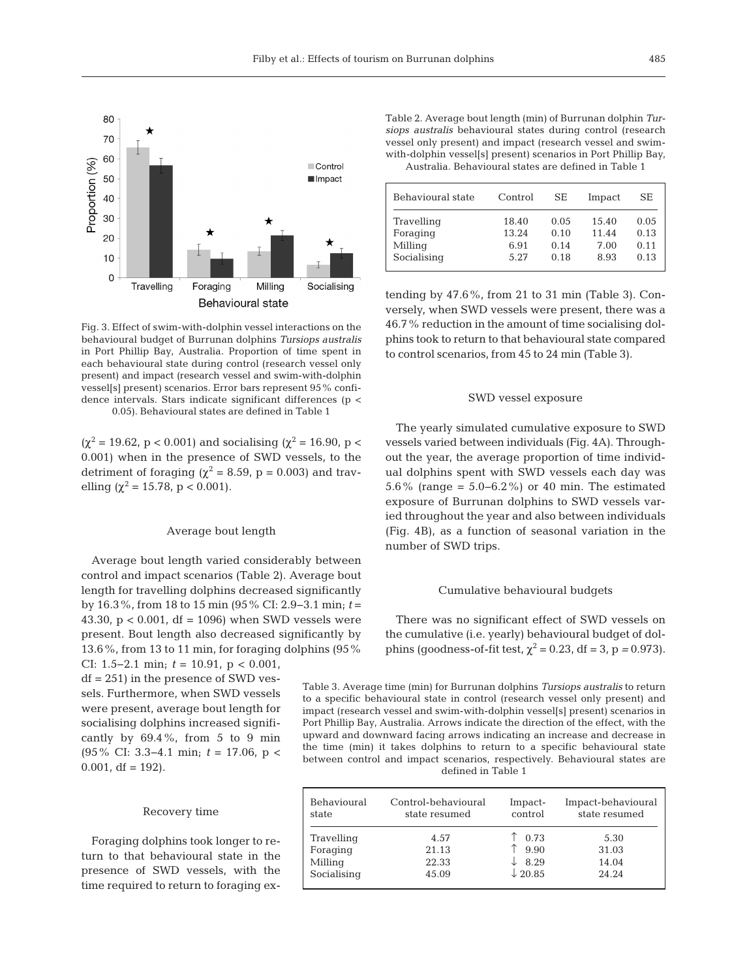

Fig. 3. Effect of swim-with-dolphin vessel interactions on the behavioural budget of Burrunan dolphins *Tursiops australis* in Port Phillip Bay, Australia. Proportion of time spent in each behavioural state during control (research vessel only present) and impact (research vessel and swim-with- dolphin vessel[s] present) scenarios. Error bars represent 95% confidence intervals. Stars indicate significant differences (p < 0.05). Behavioural states are defined in Table 1

 $(\chi^2 = 19.62, p < 0.001)$  and socialising  $(\chi^2 = 16.90, p <$ 0.001) when in the presence of SWD vessels, to the detriment of foraging ( $\chi^2$  = 8.59, p = 0.003) and travelling ( $\chi^2$  = 15.78, p < 0.001).

# Average bout length

Average bout length varied considerably between control and impact scenarios (Table 2). Average bout length for travelling dolphins decreased significantly by 16.3%, from 18 to 15 min (95% CI: 2.9−3.1 min; *t* = 43.30,  $p < 0.001$ , df = 1096) when SWD vessels were present. Bout length also decreased significantly by 13.6%, from 13 to 11 min, for foraging dolphins (95% CI: 1.5−2.1 min; *t* = 10.91, p < 0.001,

 $df = 251$ ) in the presence of SWD vessels. Furthermore, when SWD vessels were present, average bout length for socialising dolphins increased significantly by  $69.4\%$ , from 5 to 9 min (95% CI: 3.3−4.1 min; *t* = 17.06, p <  $0.001$ , df = 192).

# Recovery time

Foraging dolphins took longer to return to that behavioural state in the presence of SWD vessels, with the time required to return to foraging exTable 2. Average bout length (min) of Burrunan dolphin *Tursiops australis* behavioural states during control (research vessel only present) and impact (research vessel and swimwith-dolphin vessel[s] present) scenarios in Port Phillip Bay, Australia. Behavioural states are defined in Table 1

| Behavioural state | Control | SE.  | Impact | SE.  |
|-------------------|---------|------|--------|------|
| Travelling        | 18.40   | 0.05 | 15.40  | 0.05 |
| Foraging          | 13.24   | 0.10 | 11.44  | 0.13 |
| Milling           | 6.91    | 0.14 | 7.00   | 0.11 |
| Socialising       | 5.27    | 0.18 | 8.93   | 0.13 |

tending by 47.6%, from 21 to 31 min (Table 3). Conversely, when SWD vessels were present, there was a 46.7% reduction in the amount of time socialising dolphins took to return to that behavioural state compared to control scenarios, from 45 to 24 min (Table 3).

## SWD vessel exposure

The yearly simulated cumulative exposure to SWD vessels varied between individuals (Fig. 4A). Throughout the year, the average proportion of time individual dolphins spent with SWD vessels each day was 5.6% (range = 5.0−6.2%) or 40 min. The estimated exposure of Burrunan dolphins to SWD vessels varied throughout the year and also between individuals (Fig. 4B), as a function of seasonal variation in the number of SWD trips.

## Cumulative behavioural budgets

There was no significant effect of SWD vessels on the cumulative (i.e. yearly) behavioural budget of dolphins (goodness-of-fit test,  $χ² = 0.23$ , df = 3, p = 0.973).

Table 3. Average time (min) for Burrunan dolphins *Tursiops australis* to return to a specific behavioural state in control (research vessel only present) and impact (research vessel and swim-with-dolphin vessel[s] present) scenarios in Port Phillip Bay, Australia. Arrows indicate the direction of the effect, with the upward and downward facing arrows indicating an increase and decrease in the time (min) it takes dolphins to return to a specific behavioural state between control and impact scenarios, respectively. Behavioural states are defined in Table 1

| Behavioural | Control-behavioural | Impact-            | Impact-behavioural |
|-------------|---------------------|--------------------|--------------------|
| state       | state resumed       | control            | state resumed      |
| Travelling  | 4.57                | $\uparrow$ 0.73    | 5.30               |
| Foraging    | 21.13               | 9.90               | 31.03              |
| Milling     | 22.33               | $\downarrow$ 8.29  | 14.04              |
| Socialising | 45.09               | $\downarrow$ 20.85 | 24.24              |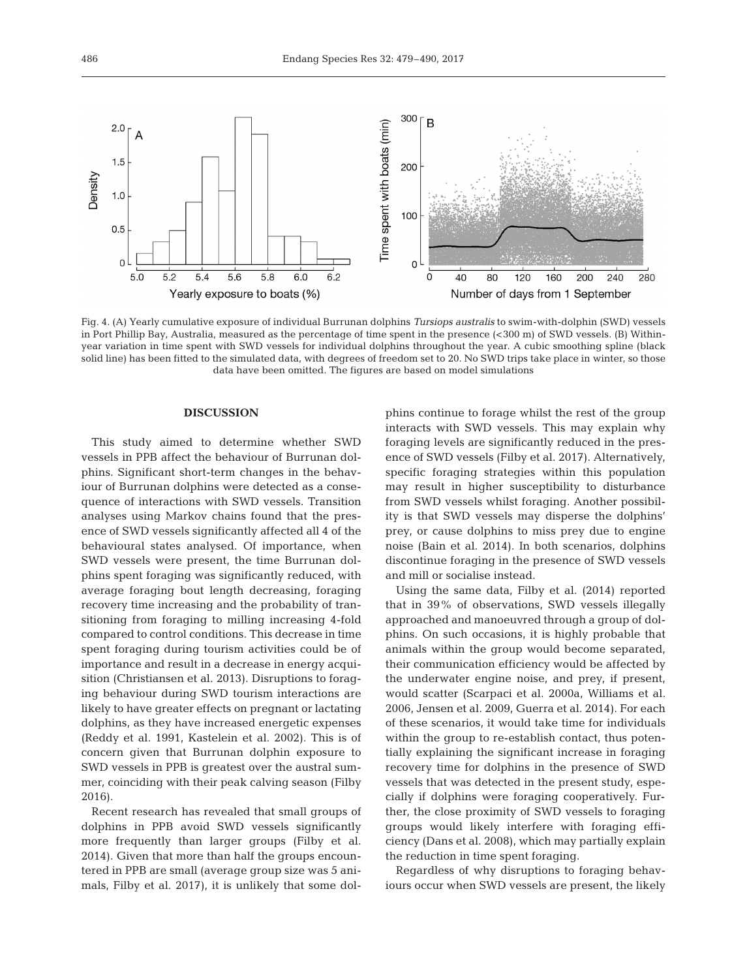

Fig. 4. (A) Yearly cumulative exposure of individual Burrunan dolphins *Tursiops australis* to swim-with-dolphin (SWD) vessels in Port Phillip Bay, Australia, measured as the percentage of time spent in the presence (<300 m) of SWD vessels. (B) Withinyear variation in time spent with SWD vessels for individual dolphins throughout the year. A cubic smoothing spline (black solid line) has been fitted to the simulated data, with degrees of freedom set to 20. No SWD trips take place in winter, so those data have been omitted. The figures are based on model simulations

# **DISCUSSION**

This study aimed to determine whether SWD vessels in PPB affect the behaviour of Burrunan dolphins. Significant short-term changes in the behaviour of Burrunan dolphins were detected as a consequence of interactions with SWD vessels. Transition analyses using Markov chains found that the presence of SWD vessels significantly affected all 4 of the behavioural states analysed. Of importance, when SWD vessels were present, the time Burrunan dolphins spent foraging was significantly reduced, with average foraging bout length decreasing, foraging recovery time increasing and the probability of transitioning from foraging to milling increasing 4-fold compared to control conditions. This decrease in time spent foraging during tourism activities could be of importance and result in a decrease in energy acquisition (Christiansen et al. 2013). Disruptions to foraging behaviour during SWD tourism interactions are likely to have greater effects on pregnant or lactating dolphins, as they have increased energetic expenses (Reddy et al. 1991, Kastelein et al. 2002). This is of concern given that Burrunan dolphin exposure to SWD vessels in PPB is greatest over the austral summer, coinciding with their peak calving season (Filby 2016).

Recent research has revealed that small groups of dolphins in PPB avoid SWD vessels significantly more frequently than larger groups (Filby et al. 2014). Given that more than half the groups encountered in PPB are small (average group size was 5 animals, Filby et al. 2017), it is unlikely that some dolphins continue to forage whilst the rest of the group interacts with SWD vessels. This may explain why foraging levels are significantly reduced in the presence of SWD vessels (Filby et al. 2017). Alternatively, specific foraging strategies within this population may result in higher susceptibility to disturbance from SWD vessels whilst foraging. Another possibility is that SWD vessels may disperse the dolphins' prey, or cause dolphins to miss prey due to engine noise (Bain et al. 2014). In both scenarios, dolphins discontinue foraging in the presence of SWD vessels and mill or socialise instead.

Using the same data, Filby et al. (2014) reported that in 39% of observations, SWD vessels illegally approached and manoeuvred through a group of dolphins. On such occasions, it is highly probable that animals within the group would become separated, their communication efficiency would be affected by the underwater engine noise, and prey, if present, would scatter (Scarpaci et al. 2000a, Williams et al. 2006, Jensen et al. 2009, Guerra et al. 2014). For each of these scenarios, it would take time for individuals within the group to re-establish contact, thus potentially explaining the significant increase in foraging recovery time for dolphins in the presence of SWD vessels that was detected in the present study, especially if dolphins were foraging cooperatively. Further, the close proximity of SWD vessels to foraging groups would likely interfere with foraging efficiency (Dans et al. 2008), which may partially explain the reduction in time spent foraging.

Regardless of why disruptions to foraging behaviours occur when SWD vessels are present, the likely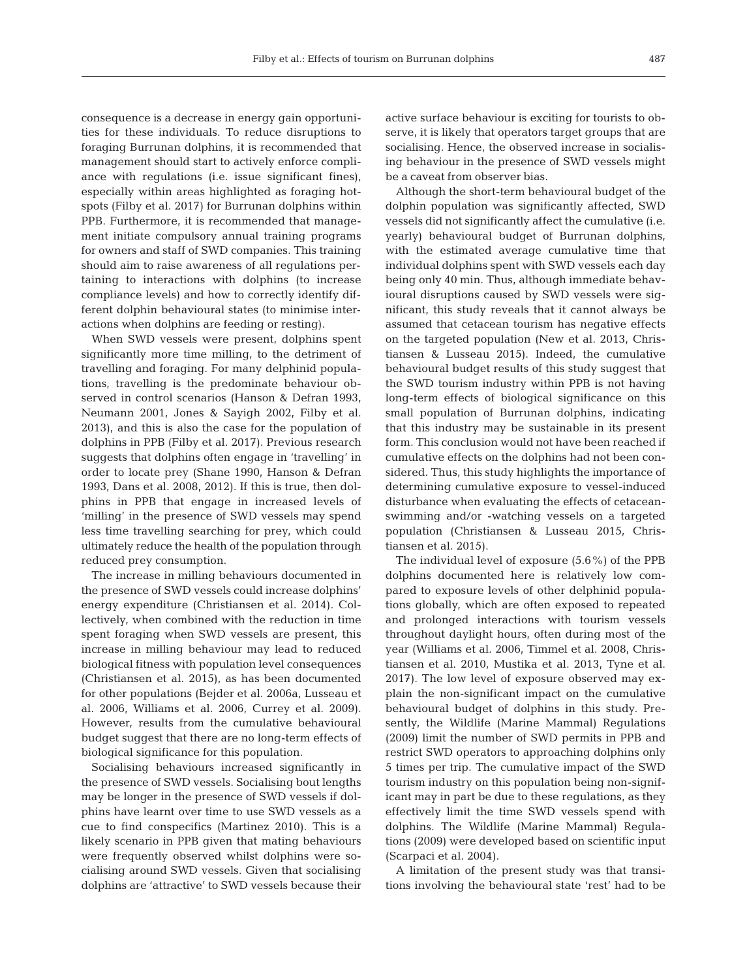consequence is a decrease in energy gain opportunities for these individuals. To reduce disruptions to foraging Burrunan dolphins, it is recommended that management should start to actively enforce compliance with regulations (i.e. issue significant fines), especially within areas highlighted as foraging hotspots (Filby et al. 2017) for Burrunan dolphins within PPB. Furthermore, it is recommended that management initiate compulsory annual training programs for owners and staff of SWD companies. This training should aim to raise awareness of all regulations pertaining to interactions with dolphins (to increase compliance levels) and how to correctly identify different dolphin behavioural states (to minimise interactions when dolphins are feeding or resting).

When SWD vessels were present, dolphins spent significantly more time milling, to the detriment of travelling and foraging. For many delphinid populations, travelling is the predominate behaviour ob served in control scenarios (Hanson & Defran 1993, Neumann 2001, Jones & Sayigh 2002, Filby et al. 2013), and this is also the case for the population of dolphins in PPB (Filby et al. 2017). Previous research suggests that dolphins often engage in 'travelling' in order to locate prey (Shane 1990, Hanson & Defran 1993, Dans et al. 2008, 2012). If this is true, then dolphins in PPB that engage in increased levels of 'milling' in the presence of SWD vessels may spend less time travelling searching for prey, which could ultimately reduce the health of the population through reduced prey consumption.

The increase in milling behaviours documented in the presence of SWD vessels could increase dolphins' energy expenditure (Christiansen et al. 2014). Collectively, when combined with the reduction in time spent foraging when SWD vessels are present, this increase in milling behaviour may lead to reduced biological fitness with population level consequences (Christiansen et al. 2015), as has been documented for other populations (Bejder et al. 2006a, Lusseau et al. 2006, Williams et al. 2006, Currey et al. 2009). However, results from the cumulative behavioural budget suggest that there are no long-term effects of biological significance for this population.

Socialising behaviours increased significantly in the presence of SWD vessels. Socialising bout lengths may be longer in the presence of SWD vessels if dolphins have learnt over time to use SWD vessels as a cue to find conspecifics (Martinez 2010). This is a likely scenario in PPB given that mating behaviours were frequently observed whilst dolphins were socialising around SWD vessels. Given that socialising dolphins are 'attractive' to SWD vessels because their

active surface behaviour is exciting for tourists to observe, it is likely that operators target groups that are socialising. Hence, the observed increase in socialising behaviour in the presence of SWD vessels might be a caveat from observer bias.

Although the short-term behavioural budget of the dolphin population was significantly affected, SWD vessels did not significantly affect the cumulative (i.e. yearly) behavioural budget of Burrunan dolphins, with the estimated average cumulative time that individual dolphins spent with SWD vessels each day being only 40 min. Thus, although immediate behavioural disruptions caused by SWD vessels were significant, this study reveals that it cannot always be assumed that cetacean tourism has negative effects on the targeted population (New et al. 2013, Christiansen & Lusseau 2015). Indeed, the cumulative behavioural budget results of this study suggest that the SWD tourism industry within PPB is not having long-term effects of biological significance on this small population of Burrunan dolphins, indicating that this industry may be sustainable in its present form. This conclusion would not have been reached if cumulative effects on the dolphins had not been considered. Thus, this study highlights the importance of determining cumulative exposure to vessel-induced disturbance when evaluating the effects of cetaceanswimming and/or -watching vessels on a targeted population (Christiansen & Lusseau 2015, Christiansen et al. 2015).

The individual level of exposure (5.6%) of the PPB dolphins documented here is relatively low compared to exposure levels of other delphinid populations globally, which are often exposed to repeated and prolonged interactions with tourism vessels throughout daylight hours, often during most of the year (Williams et al. 2006, Timmel et al. 2008, Christiansen et al. 2010, Mustika et al. 2013, Tyne et al. 2017). The low level of exposure observed may explain the non-significant impact on the cumulative behavioural budget of dolphins in this study. Presently, the Wildlife (Marine Mammal) Regulations (2009) limit the number of SWD permits in PPB and restrict SWD operators to approaching dolphins only 5 times per trip. The cumulative impact of the SWD tourism industry on this population being non-significant may in part be due to these regulations, as they effectively limit the time SWD vessels spend with dolphins. The Wildlife (Marine Mammal) Regulations (2009) were developed based on scientific input (Scarpaci et al. 2004).

A limitation of the present study was that transitions involving the behavioural state 'rest' had to be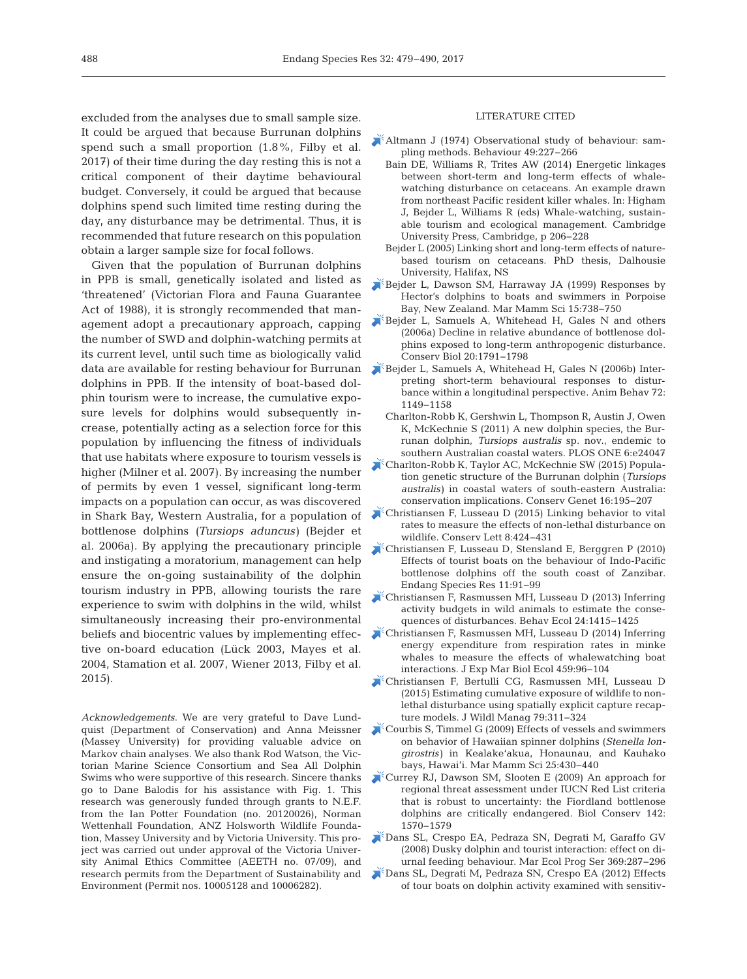excluded from the analyses due to small sample size. It could be argued that because Burrunan dolphins spend such a small proportion (1.8%, Filby et al. 2017) of their time during the day resting this is not a critical component of their daytime behavioural budget. Conversely, it could be argued that because dolphins spend such limited time resting during the day, any disturbance may be detrimental. Thus, it is recommended that future research on this population obtain a larger sample size for focal follows.

Given that the population of Burrunan dolphins in PPB is small, genetically isolated and listed as 'threatened' (Victorian Flora and Fauna Guarantee Act of 1988), it is strongly recommended that management adopt a precautionary approach, capping the number of SWD and dolphin-watching permits at its current level, until such time as biologically valid data are available for resting behaviour for Burrunan dolphins in PPB. If the intensity of boat-based dolphin tourism were to increase, the cumulative exposure levels for dolphins would subsequently increase, potentially acting as a selection force for this population by influencing the fitness of individuals that use habitats where exposure to tourism vessels is higher (Milner et al. 2007). By increasing the number of permits by even 1 vessel, significant long-term impacts on a population can occur, as was discovered in Shark Bay, Western Australia, for a population of bottlenose dolphins *(Tursiops aduncus)* (Bejder et al. 2006a). By applying the precautionary principle and instigating a moratorium, management can help ensure the on-going sustainability of the dolphin tourism industry in PPB, allowing tourists the rare experience to swim with dolphins in the wild, whilst simultaneously increasing their pro-environmental beliefs and biocentric values by implementing effective on-board education (Lück 2003, Mayes et al. 2004, Stamation et al. 2007, Wiener 2013, Filby et al. 2015).

Acknowledgements. We are very grateful to Dave Lundquist (Department of Conservation) and Anna Meissner (Massey University) for providing valuable advice on Markov chain analyses. We also thank Rod Watson, the Victorian Marine Science Consortium and Sea All Dolphin Swims who were supportive of this research. Sincere thanks go to Dane Balodis for his assistance with Fig. 1. This research was generously funded through grants to N.E.F. from the Ian Potter Foundation (no. 20120026), Norman Wettenhall Foundation, ANZ Holsworth Wildlife Foundation, Massey University and by Victoria University. This project was carried out under approval of the Victoria University Animal Ethics Committee (AEETH no. 07/09), and research permits from the Department of Sustainability and Environment (Permit nos. 10005128 and 10006282).

## LITERATURE CITED

- $\blacktriangleright$  Altmann J (1974) Observational study of behaviour: sampling methods. Behaviour 49:227-266
	- Bain DE, Williams R, Trites AW (2014) Energetic linkages between short-term and long-term effects of whalewatching disturbance on cetaceans. An example drawn from northeast Pacific resident killer whales. In: Higham J, Bejder L, Williams R (eds) Whale-watching, sustainable tourism and ecological management. Cambridge University Press, Cambridge, p 206−228
	- Bejder L (2005) Linking short and long-term effects of naturebased tourism on cetaceans. PhD thesis, Dalhousie University, Halifax, NS
- [Bejder L, Dawson SM, Harraway JA \(1999\) Responses by](https://doi.org/10.1111/j.1748-7692.1999.tb00840.x) Hector's dolphins to boats and swimmers in Porpoise Bay, New Zealand. Mar Mamm Sci 15:738-750
- [Bejder L, Samuels A, Whitehead H, Gales N and others](https://doi.org/10.1111/j.1523-1739.2006.00540.x) (2006a) Decline in relative abundance of bottlenose dolphins exposed to long-term anthropogenic disturbance. Conserv Biol 20: 1791−1798
- [Bejder L, Samuels A, Whitehead H, Gales N \(2006b\) Inter](https://doi.org/10.1016/j.anbehav.2006.04.003)preting short-term behavioural responses to disturbance within a longitudinal perspective. Anim Behav 72: 1149−1158
	- Charlton-Robb K, Gershwin L, Thompson R, Austin J, Owen K, McKechnie S (2011) A new dolphin species, the Burrunan dolphin, *Tursiops australis* sp. nov., endemic to southern Australian coastal waters. PLOS ONE 6:e24047
- [Charlton-Robb K, Taylor AC, McKechnie SW \(2015\) Popula](https://doi.org/10.1007/s10592-014-0652-6)tion genetic structure of the Burrunan dolphin (*Tursiops australis)* in coastal waters of south-eastern Australia: conservation implications. Conserv Genet 16: 195−207
- [Christiansen F, Lusseau D \(2015\) Linking behavior to vital](https://doi.org/10.1111/conl.12166) rates to measure the effects of non-lethal disturbance on wildlife. Conserv Lett 8: 424−431
- [Christiansen F, Lusseau D, Stensland E, Berggren P \(2010\)](https://doi.org/10.3354/esr00265) Effects of tourist boats on the behaviour of Indo-Pacific bottlenose dolphins off the south coast of Zanzibar. Endang Species Res 11:91-99
- [Christiansen F, Rasmussen MH, Lusseau D \(2013\) Inferring](https://doi.org/10.1093/beheco/art086) activity budgets in wild animals to estimate the consequences of disturbances. Behav Ecol 24: 1415−1425
- [Christiansen F, Rasmussen MH, Lusseau D \(2014\) Inferring](https://doi.org/10.1016/j.jembe.2014.05.014) energy expenditure from respiration rates in minke whales to measure the effects of whalewatching boat interactions. J Exp Mar Biol Ecol 459: 96−104
- [Christiansen F, Bertulli CG, Rasmussen MH, Lusseau D](https://doi.org/10.1002/jwmg.836) (2015) Estimating cumulative exposure of wildlife to nonlethal disturbance using spatially explicit capture recapture models. J Wildl Manag 79:311-324
- [Courbis S, Timmel G \(2009\) Effects of vessels and swimmers](https://doi.org/10.1111/j.1748-7692.2008.00254.x) on behavior of Hawaiian spinner dolphins (*Stenella longirostris)* in Kealake'akua, Honaunau, and Kauhako bays, Hawai'i. Mar Mamm Sci 25: 430−440
- [Currey RJ, Dawson SM, Slooten E \(2009\) An approach for](https://doi.org/10.1016/j.biocon.2009.02.036) regional threat assessment under IUCN Red List criteria that is robust to uncertainty: the Fiordland bottlenose dolphins are critically endangered. Biol Conserv 142: 1570−1579
- [Dans SL, Crespo EA, Pedraza SN, Degrati M, Garaffo GV](https://doi.org/10.3354/meps07629) (2008) Dusky dolphin and tourist interaction: effect on diurnal feeding behaviour. Mar Ecol Prog Ser 369:287-296
- [Dans SL, Degrati M, Pedraza SN, Crespo EA \(2012\) Effects](https://doi.org/10.1111/j.1523-1739.2012.01844.x) of tour boats on dolphin activity examined with sensitiv-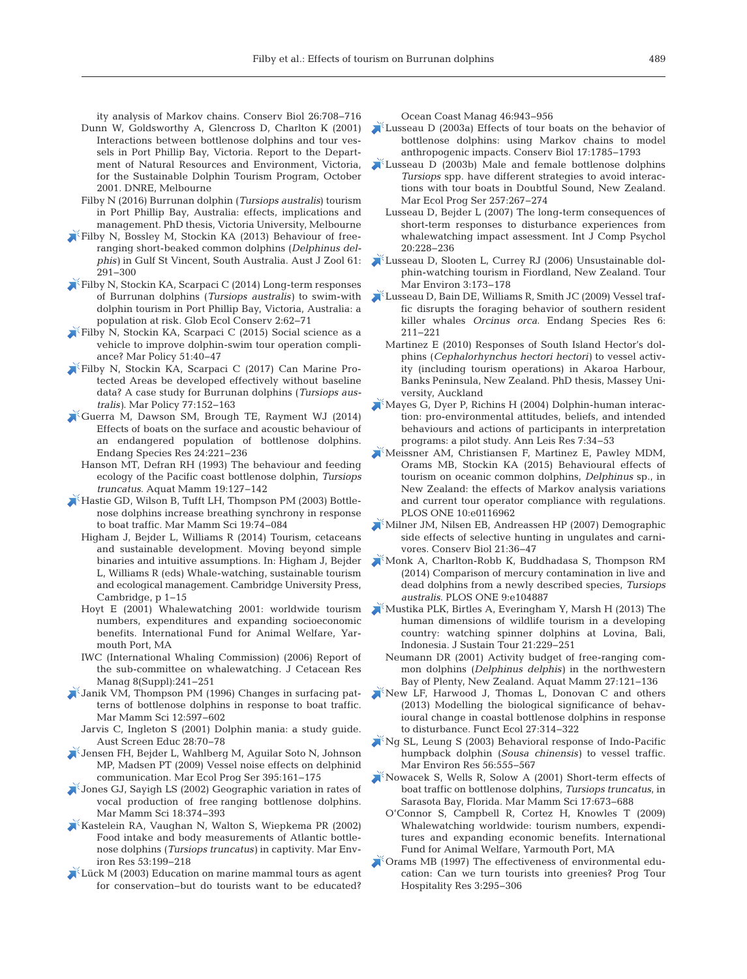ity analysis of Markov chains. Conserv Biol 26:708−716

- Dunn W, Goldsworthy A, Glencross D, Charlton K (2001) Interactions between bottlenose dolphins and tour vessels in Port Phillip Bay, Victoria. Report to the Department of Natural Resources and Environment, Victoria, for the Sustainable Dolphin Tourism Program, October 2001. DNRE, Melbourne
- Filby N (2016) Burrunan dolphin (*Tursiops australis*) tourism in Port Phillip Bay, Australia: effects, implications and management. PhD thesis, Victoria University, Melbourne
- [Filby N, Bossley M, Stockin KA \(2013\) Behaviour of free](https://doi.org/10.1071/ZO12033)ranging short-beaked common dolphins (*Delphinus del-*291−300
- [Filby N, Stockin KA, Scarpaci C \(2014\) Long-term responses](https://doi.org/10.1016/j.gecco.2014.08.006) of Burrunan dolphins (*Tursiops australis)* to swim-with dolphin tourism in Port Phillip Bay, Victoria, Australia: a population at risk. Glob Ecol Conserv 2:62–71
- [Filby N, Stockin KA, Scarpaci C \(2015\) Social science as a](https://doi.org/10.1016/j.marpol.2014.07.010) vehicle to improve dolphin-swim tour operation compliance? Mar Policy 51:40-47
- [Filby N, Stockin KA, Scarpaci C \(2017\) Can Marine Pro](https://doi.org/10.1016/j.marpol.2016.12.009)tected Areas be developed effectively without baseline data? A case study for Burrunan dolphins (*Tursiops australis)*. Mar Policy 77: 152−163
- [Guerra M, Dawson SM, Brough TE, Rayment WJ \(2014\)](https://doi.org/10.3354/esr00598) Effects of boats on the surface and acoustic behaviour of an endangered population of bottlenose dolphins. Endang Species Res 24: 221−236
	- Hanson MT, Defran RH (1993) The behaviour and feeding ecology of the Pacific coast bottlenose dolphin, *Tursiops truncatus*. Aquat Mamm 19: 127−142
- [Hastie GD, Wilson B, Tufft LH, Thompson PM \(2003\) Bottle](https://doi.org/10.1111/j.1748-7692.2003.tb01093.x)nose dolphins increase breathing synchrony in response to boat traffic. Mar Mamm Sci 19: 74−084
	- Higham J, Bejder L, Williams R (2014) Tourism, cetaceans and sustainable development. Moving beyond simple binaries and intuitive assumptions. In: Higham J, Bejder L, Williams R (eds) Whale-watching, sustainable tourism and ecological management. Cambridge University Press, Cambridge, p 1−15
	- Hoyt E (2001) Whalewatching 2001: worldwide tourism numbers, expenditures and expanding socioeconomic benefits. International Fund for Animal Welfare, Yarmouth Port, MA
	- IWC (International Whaling Commission) (2006) Report of the sub-committee on whalewatching. J Cetacean Res Manag 8(Suppl): 241-251
- [Janik VM, Thompson PM \(1996\) Changes in surfacing pat](https://doi.org/10.1111/j.1748-7692.1996.tb00073.x)terns of bottlenose dolphins in response to boat traffic. Mar Mamm Sci 12:597-602
	- Jarvis C, Ingleton S (2001) Dolphin mania: a study guide. Aust Screen Educ 28: 70−78
- [Jensen FH, Bejder L, Wahlberg M, Aguilar Soto N, Johnson](https://doi.org/10.3354/meps08204) MP, Madsen PT (2009) Vessel noise effects on delphinid communication. Mar Ecol Prog Ser 395: 161−175
- [Jones GJ, Sayigh LS \(2002\) Geographic variation in rates of](https://doi.org/10.1111/j.1748-7692.2002.tb01044.x) vocal production of free ranging bottlenose dolphins. Mar Mamm Sci 18: 374−393
- [Kastelein RA, Vaughan N, Walton S, Wiepkema PR \(2002\)](https://doi.org/10.1016/S0141-1136(01)00123-4) Food intake and body measurements of Atlantic bottlenose dolphins (*Tursiops truncatus)* in captivity. Mar Environ Res 53: 199−218
- [Lück M \(2003\) Education on marine mammal tours as agent](https://doi.org/10.1016/S0964-5691(03)00071-1) for conservation−but do tourists want to be educated?

Ocean Coast Manag 46: 943−956

- [Lusseau D \(2003a\) Effects of tour boats on the behavior of](https://doi.org/10.1111/j.1523-1739.2003.00054.x) bottlenose dolphins: using Markov chains to model anthropogenic impacts. Conserv Biol 17: 1785−1793
- [Lusseau D \(2003b\) Male and female bottlenose dolphins](https://doi.org/10.3354/meps257267) *Tursiops* spp. have different strategies to avoid interactions with tour boats in Doubtful Sound, New Zealand. Mar Ecol Prog Ser 257:267-274
	- Lusseau D, Bejder L (2007) The long-term consequences of short-term responses to disturbance experiences from whalewatching impact assessment. Int J Comp Psychol 20: 228−236
- *phis*) in Gulf St Vincent, South Australia. Aust J Zool 61: **A** [Lusseau D, Slooten L, Currey RJ \(2006\) Unsustainable dol](https://doi.org/10.3727/154427306779435184)phin-watching tourism in Fiordland, New Zealand. Tour Mar Environ 3: 173−178
	- [Lusseau D, Bain DE, Williams R, Smith JC \(2009\) Vessel traf](https://doi.org/10.3354/esr00154)fic disrupts the foraging behavior of southern resident killer whales *Orcinus orca*. Endang Species Res 6: 211−221
		- Martinez E (2010) Responses of South Island Hector's dolphins (*Cephalorhynchus hectori hectori)* to vessel activity (including tourism operations) in Akaroa Harbour, Banks Peninsula, New Zealand. PhD thesis, Massey University, Auckland
	- [Mayes G, Dyer P, Richins H \(2004\) Dolphin-human interac](https://doi.org/10.1080/11745398.2004.10600938)tion: pro-environmental attitudes, beliefs, and intended behaviours and actions of participants in interpretation programs:a pilot study. Ann Leis Res 7: 34−53
	- [Meissner AM, Christiansen F, Martinez E, Pawley MDM,](https://doi.org/10.1371/journal.pone.0116962) Orams MB, Stockin KA (2015) Behavioural effects of tourism on oceanic common dolphins, *Delphinus* sp., in New Zealand: the effects of Markov analysis variations and current tour operator compliance with regulations. PLOS ONE 10: e0116962
	- [Milner JM, Nilsen EB, Andreassen HP \(2007\) Demographic](https://doi.org/10.1111/j.1523-1739.2006.00591.x) side effects of selective hunting in ungulates and carnivores. Conserv Biol 21:36-47
	- [Monk A, Charlton-Robb K, Buddhadasa S, Thompson RM](https://doi.org/10.1371/journal.pone.0104887) (2014) Comparison of mercury contamination in live and dead dolphins from a newly described species, *Tursiops* australis. PLOS ONE 9:e104887
	- [Mustika PLK, Birtles A, Everingham Y, Marsh H \(2013\) The](https://doi.org/10.1080/09669582.2012.692881) human dimensions of wildlife tourism in a developing country: watching spinner dolphins at Lovina, Bali, Indonesia. J Sustain Tour 21: 229−251
		- Neumann DR (2001) Activity budget of free-ranging common dolphins (*Delphinus delphis)* in the northwestern Bay of Plenty, New Zealand. Aquat Mamm 27: 121−136
	- [New LF, Harwood J, Thomas L, Donovan C and others](https://doi.org/10.1111/1365-2435.12052) (2013) Modelling the biological significance of behavioural change in coastal bottlenose dolphins in response to disturbance. Funct Ecol 27: 314−322
	- $\mathbb{R}^n$  [Ng SL, Leung S \(2003\) Behavioral response of Indo-Pacific](https://doi.org/10.1016/S0141-1136(03)00041-2) humpback dolphin (*Sousa chinensis)* to vessel traffic. Mar Environ Res 56:555–567
	- [Nowacek S, Wells R, Solow A \(2001\) Short-term effects of](https://doi.org/10.1111/j.1748-7692.2001.tb01292.x) boat traffic on bottlenose dolphins, *Tursiops truncatus*, in Sarasota Bay, Florida. Mar Mamm Sci 17: 673−688
		- O'Connor S, Campbell R, Cortez H, Knowles T (2009) Whalewatching worldwide: tourism numbers, expenditures and expanding economic benefits. International Fund for Animal Welfare, Yarmouth Port, MA
	- [Orams MB \(1997\) The effectiveness of environmental edu](https://doi.org/10.1002/(SICI)1099-1603(199712)3%3A4%3C295%3A%3AAID-PTH85%3E3.0.CO%3B2-D)cation:Can we turn tourists into greenies? Prog Tour Hospitality Res 3:295-306